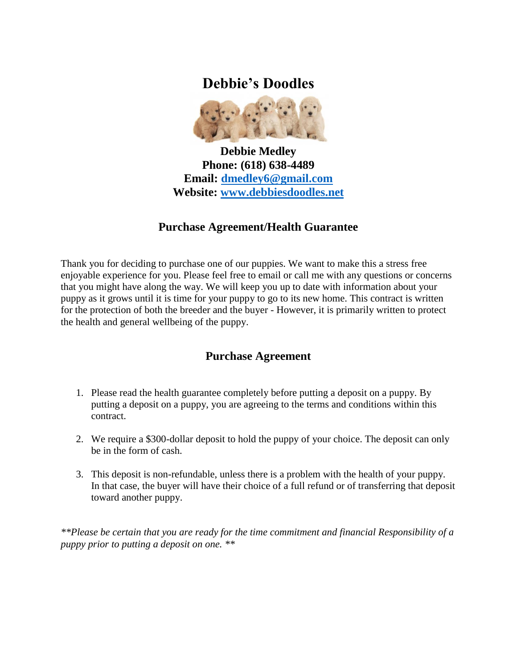## **Debbie's Doodles**



**Debbie Medley Phone: (618) 638-4489 Email: [dmedley6@gmail.com](mailto:dmedley6@gmail.com) Website: [www.debbiesdoodles.net](http://www.debbiesdoodles.net/)**

## **Purchase Agreement/Health Guarantee**

Thank you for deciding to purchase one of our puppies. We want to make this a stress free enjoyable experience for you. Please feel free to email or call me with any questions or concerns that you might have along the way. We will keep you up to date with information about your puppy as it grows until it is time for your puppy to go to its new home. This contract is written for the protection of both the breeder and the buyer - However, it is primarily written to protect the health and general wellbeing of the puppy.

## **Purchase Agreement**

- 1. Please read the health guarantee completely before putting a deposit on a puppy. By putting a deposit on a puppy, you are agreeing to the terms and conditions within this contract.
- 2. We require a \$300-dollar deposit to hold the puppy of your choice. The deposit can only be in the form of cash.
- 3. This deposit is non-refundable, unless there is a problem with the health of your puppy. In that case, the buyer will have their choice of a full refund or of transferring that deposit toward another puppy.

*\*\*Please be certain that you are ready for the time commitment and financial Responsibility of a puppy prior to putting a deposit on one. \*\**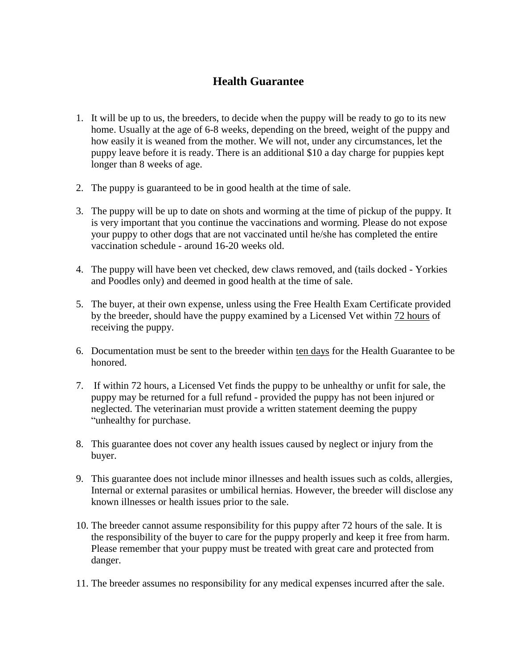## **Health Guarantee**

- 1. It will be up to us, the breeders, to decide when the puppy will be ready to go to its new home. Usually at the age of 6-8 weeks, depending on the breed, weight of the puppy and how easily it is weaned from the mother. We will not, under any circumstances, let the puppy leave before it is ready. There is an additional \$10 a day charge for puppies kept longer than 8 weeks of age.
- 2. The puppy is guaranteed to be in good health at the time of sale.
- 3. The puppy will be up to date on shots and worming at the time of pickup of the puppy. It is very important that you continue the vaccinations and worming. Please do not expose your puppy to other dogs that are not vaccinated until he/she has completed the entire vaccination schedule - around 16-20 weeks old.
- 4. The puppy will have been vet checked, dew claws removed, and (tails docked Yorkies and Poodles only) and deemed in good health at the time of sale.
- 5. The buyer, at their own expense, unless using the Free Health Exam Certificate provided by the breeder, should have the puppy examined by a Licensed Vet within 72 hours of receiving the puppy.
- 6. Documentation must be sent to the breeder within ten days for the Health Guarantee to be honored.
- 7. If within 72 hours, a Licensed Vet finds the puppy to be unhealthy or unfit for sale, the puppy may be returned for a full refund - provided the puppy has not been injured or neglected. The veterinarian must provide a written statement deeming the puppy "unhealthy for purchase.
- 8. This guarantee does not cover any health issues caused by neglect or injury from the buyer.
- 9. This guarantee does not include minor illnesses and health issues such as colds, allergies, Internal or external parasites or umbilical hernias. However, the breeder will disclose any known illnesses or health issues prior to the sale.
- 10. The breeder cannot assume responsibility for this puppy after 72 hours of the sale. It is the responsibility of the buyer to care for the puppy properly and keep it free from harm. Please remember that your puppy must be treated with great care and protected from danger.
- 11. The breeder assumes no responsibility for any medical expenses incurred after the sale.